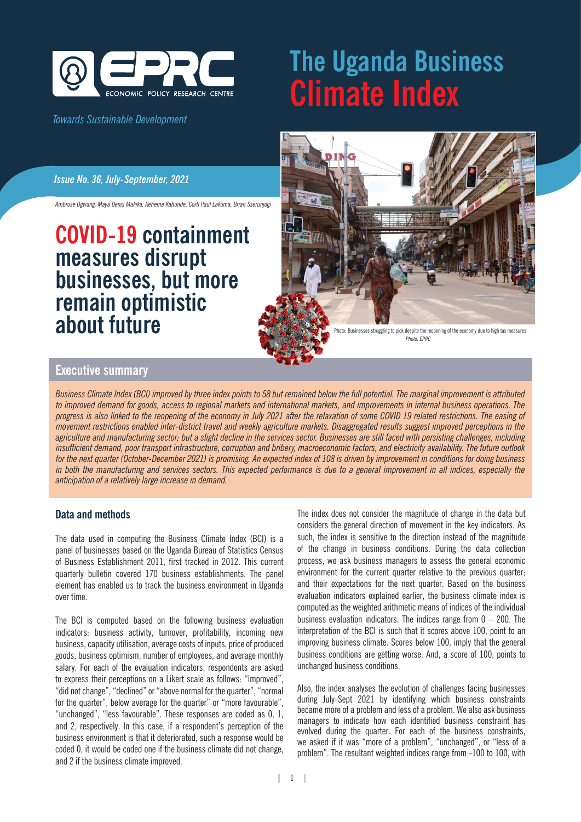

# *Towards Sustainable Development*

# **The Uganda Business Climate Index**

### *Issue No. 36, July-September, 2021*

*Ambrose Ogwang, Maya Denis Makika, Rehema Kahunde, Corti Paul Lakuma, Brian Sserunjogi*

# **COVID-19 containment measures disrupt businesses, but more remain optimistic about future**



ioto: Businesses struggling to pick despite the reopening of the economy due to high tax measures *Photo: EPRC*

# **Executive summary**

*Business Climate Index (BCI) improved by three index points to 58 but remained below the full potential. The marginal improvement is attributed to improved demand for goods, access to regional markets and international markets, and improvements in internal business operations. The*  progress is also linked to the reopening of the economy in July 2021 after the relaxation of some COVID 19 related restrictions. The easing of *movement restrictions enabled inter-district travel and weekly agriculture markets. Disaggregated results suggest improved perceptions in the agriculture and manufacturing sector; but a slight decline in the services sector. Businesses are still faced with persisting challenges, including insufficient demand, poor transport infrastructure, corruption and bribery, macroeconomic factors, and electricity availability. The future outlook for the next quarter (October-December 2021) is promising. An expected index of 108 is driven by improvement in conditions for doing business*  in both the manufacturing and services sectors. This expected performance is due to a general improvement in all indices, especially the *anticipation of a relatively large increase in demand.* 

# **Data and methods**

The data used in computing the Business Climate Index (BCI) is a panel of businesses based on the Uganda Bureau of Statistics Census of Business Establishment 2011, first tracked in 2012. This current quarterly bulletin covered 170 business establishments. The panel element has enabled us to track the business environment in Uganda over time.

The BCI is computed based on the following business evaluation indicators: business activity, turnover, profitability, incoming new business, capacity utilisation, average costs of inputs, price of produced goods, business optimism, number of employees, and average monthly salary. For each of the evaluation indicators, respondents are asked to express their perceptions on a Likert scale as follows: "improved", "did not change", "declined" or "above normal for the quarter", "normal for the quarter", below average for the quarter" or "more favourable", "unchanged", "less favourable". These responses are coded as 0, 1, and 2, respectively. In this case, if a respondent's perception of the business environment is that it deteriorated, such a response would be coded 0, it would be coded one if the business climate did not change, and 2 if the business climate improved.

The index does not consider the magnitude of change in the data but considers the general direction of movement in the key indicators. As such, the index is sensitive to the direction instead of the magnitude of the change in business conditions. During the data collection process, we ask business managers to assess the general economic environment for the current quarter relative to the previous quarter; and their expectations for the next quarter. Based on the business evaluation indicators explained earlier, the business climate index is computed as the weighted arithmetic means of indices of the individual business evaluation indicators. The indices range from  $0 - 200$ . The interpretation of the BCI is such that it scores above 100, point to an improving business climate. Scores below 100, imply that the general business conditions are getting worse. And, a score of 100, points to unchanged business conditions.

Also, the index analyses the evolution of challenges facing businesses during July-Sept 2021 by identifying which business constraints became more of a problem and less of a problem. We also ask business managers to indicate how each identified business constraint has evolved during the quarter. For each of the business constraints, we asked if it was "more of a problem", "unchanged", or "less of a problem". The resultant weighted indices range from -100 to 100, with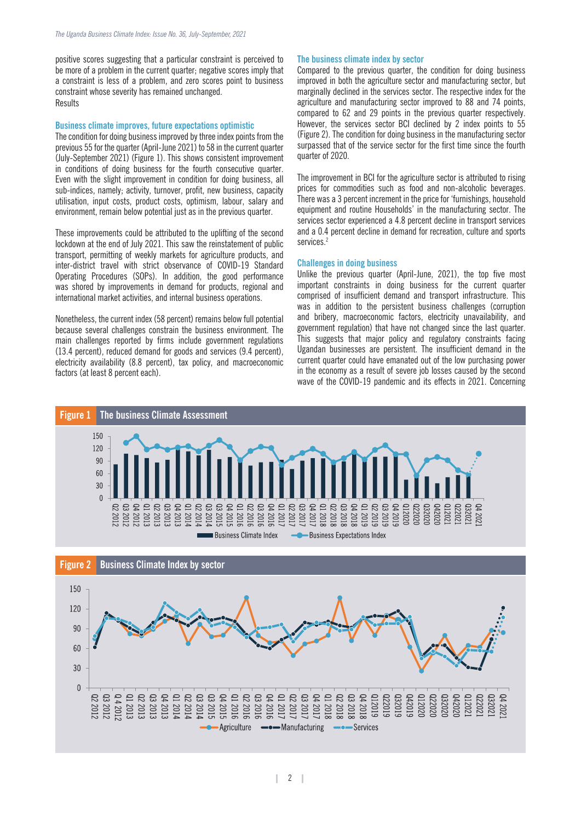positive scores suggesting that a particular constraint is perceived to be more of a problem in the current quarter; negative scores imply that a constraint is less of a problem, and zero scores point to business constraint whose severity has remained unchanged. Results

#### **Business climate improves, future expectations optimistic**

The condition for doing business improved by three index points from the previous 55 for the quarter (April-June 2021) to 58 in the current quarter (July-September 2021) (Figure 1). This shows consistent improvement in conditions of doing business for the fourth consecutive quarter. Even with the slight improvement in condition for doing business, all sub-indices, namely; activity, turnover, profit, new business, capacity utilisation, input costs, product costs, optimism, labour, salary and environment, remain below potential just as in the previous quarter.

These improvements could be attributed to the uplifting of the second lockdown at the end of July 2021. This saw the reinstatement of public transport, permitting of weekly markets for agriculture products, and inter-district travel with strict observance of COVID-19 Standard Operating Procedures (SOPs). In addition, the good performance was shored by improvements in demand for products, regional and international market activities, and internal business operations.

Nonetheless, the current index (58 percent) remains below full potential because several challenges constrain the business environment. The main challenges reported by firms include government regulations (13.4 percent), reduced demand for goods and services (9.4 percent), electricity availability (8.8 percent), tax policy, and macroeconomic factors (at least 8 percent each).

#### **The business climate index by sector**

Compared to the previous quarter, the condition for doing business improved in both the agriculture sector and manufacturing sector, but marginally declined in the services sector. The respective index for the agriculture and manufacturing sector improved to 88 and 74 points, compared to 62 and 29 points in the previous quarter respectively. However, the services sector BCI declined by 2 index points to 55 (Figure 2). The condition for doing business in the manufacturing sector surpassed that of the service sector for the first time since the fourth quarter of 2020.

The improvement in BCI for the agriculture sector is attributed to rising prices for commodities such as food and non-alcoholic beverages. There was a 3 percent increment in the price for 'furnishings, household equipment and routine Households' in the manufacturing sector. The services sector experienced a 4.8 percent decline in transport services and a 0.4 percent decline in demand for recreation, culture and sports services.<sup>2</sup>

#### **Challenges in doing business**

Unlike the previous quarter (April-June, 2021), the top five most important constraints in doing business for the current quarter comprised of insufficient demand and transport infrastructure. This was in addition to the persistent business challenges (corruption and bribery, macroeconomic factors, electricity unavailability, and government regulation) that have not changed since the last quarter. This suggests that major policy and regulatory constraints facing Ugandan businesses are persistent. The insufficient demand in the current quarter could have emanated out of the low purchasing power in the economy as a result of severe job losses caused by the second wave of the COVID-19 pandemic and its effects in 2021. Concerning



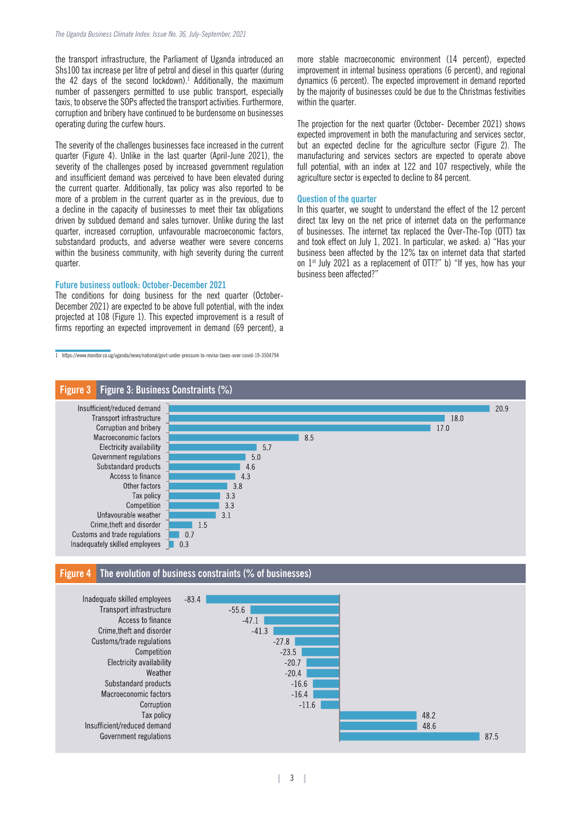the transport infrastructure, the Parliament of Uganda introduced an Shs100 tax increase per litre of petrol and diesel in this quarter (during the 42 days of the second lockdown).<sup>1</sup> Additionally, the maximum number of passengers permitted to use public transport, especially taxis, to observe the SOPs affected the transport activities. Furthermore, corruption and bribery have continued to be burdensome on businesses operating during the curfew hours.

The severity of the challenges businesses face increased in the current quarter (Figure 4). Unlike in the last quarter (April-June 2021), the severity of the challenges posed by increased government regulation and insufficient demand was perceived to have been elevated during the current quarter. Additionally, tax policy was also reported to be more of a problem in the current quarter as in the previous, due to a decline in the capacity of businesses to meet their tax obligations driven by subdued demand and sales turnover. Unlike during the last quarter, increased corruption, unfavourable macroeconomic factors, substandard products, and adverse weather were severe concerns within the business community, with high severity during the current quarter.

#### **Future business outlook: October-December 2021**

The conditions for doing business for the next quarter (October-December 2021) are expected to be above full potential, with the index projected at 108 (Figure 1). This expected improvement is a result of firms reporting an expected improvement in demand (69 percent), a

1 https://www.monitor.co.ug/uganda/news/national/govt-under-pressure-to-revise-taxes-over-covid-19-3504794

more stable macroeconomic environment (14 percent), expected improvement in internal business operations (6 percent), and regional dynamics (6 percent). The expected improvement in demand reported by the majority of businesses could be due to the Christmas festivities within the quarter.

The projection for the next quarter (October- December 2021) shows expected improvement in both the manufacturing and services sector, but an expected decline for the agriculture sector (Figure 2). The manufacturing and services sectors are expected to operate above full potential, with an index at 122 and 107 respectively, while the agriculture sector is expected to decline to 84 percent.

#### **Question of the quarter**

In this quarter, we sought to understand the effect of the 12 percent direct tax levy on the net price of internet data on the performance of businesses. The internet tax replaced the Over-The-Top (OTT) tax and took effect on July 1, 2021. In particular, we asked: a) "Has your business been affected by the 12% tax on internet data that started on 1<sup>st</sup> July 2021 as a replacement of OTT?" b) "If yes, how has your business been affected?"



#### **Figure 4 The evolution of business constraints (% of businesses)**